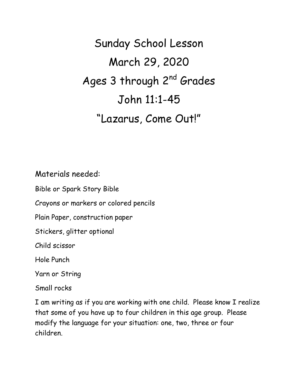Sunday School Lesson March 29, 2020 Ages 3 through 2<sup>nd</sup> Grades John 11:1-45 "Lazarus, Come Out!"

Materials needed:

Bible or Spark Story Bible

Crayons or markers or colored pencils

Plain Paper, construction paper

Stickers, glitter optional

Child scissor

Hole Punch

Yarn or String

Small rocks

I am writing as if you are working with one child. Please know I realize that some of you have up to four children in this age group. Please modify the language for your situation: one, two, three or four children.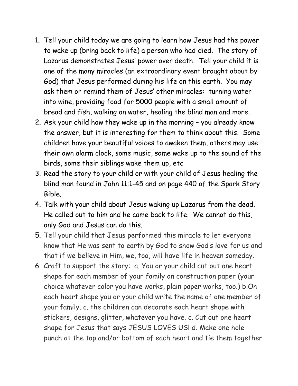- 1. Tell your child today we are going to learn how Jesus had the power to wake up (bring back to life) a person who had died. The story of Lazarus demonstrates Jesus' power over death. Tell your child it is one of the many miracles (an extraordinary event brought about by God) that Jesus performed during his life on this earth. You may ask them or remind them of Jesus' other miracles: turning water into wine, providing food for 5000 people with a small amount of bread and fish, walking on water, healing the blind man and more.
- 2. Ask your child how they wake up in the morning you already know the answer, but it is interesting for them to think about this. Some children have your beautiful voices to awaken them, others may use their own alarm clock, some music, some wake up to the sound of the birds, some their siblings wake them up, etc
- 3. Read the story to your child or with your child of Jesus healing the blind man found in John 11:1-45 and on page 440 of the Spark Story Bible.
- 4. Talk with your child about Jesus waking up Lazarus from the dead. He called out to him and he came back to life. We cannot do this, only God and Jesus can do this.
- 5. Tell your child that Jesus performed this miracle to let everyone know that He was sent to earth by God to show God's love for us and that if we believe in Him, we, too, will have life in heaven someday.
- 6. Craft to support the story: a. You or your child cut out one heart shape for each member of your family on construction paper (your choice whatever color you have works, plain paper works, too.) b.On each heart shape you or your child write the name of one member of your family. c. the children can decorate each heart shape with stickers, designs, glitter, whatever you have. c. Cut out one heart shape for Jesus that says JESUS LOVES US! d. Make one hole punch at the top and/or bottom of each heart and tie them together